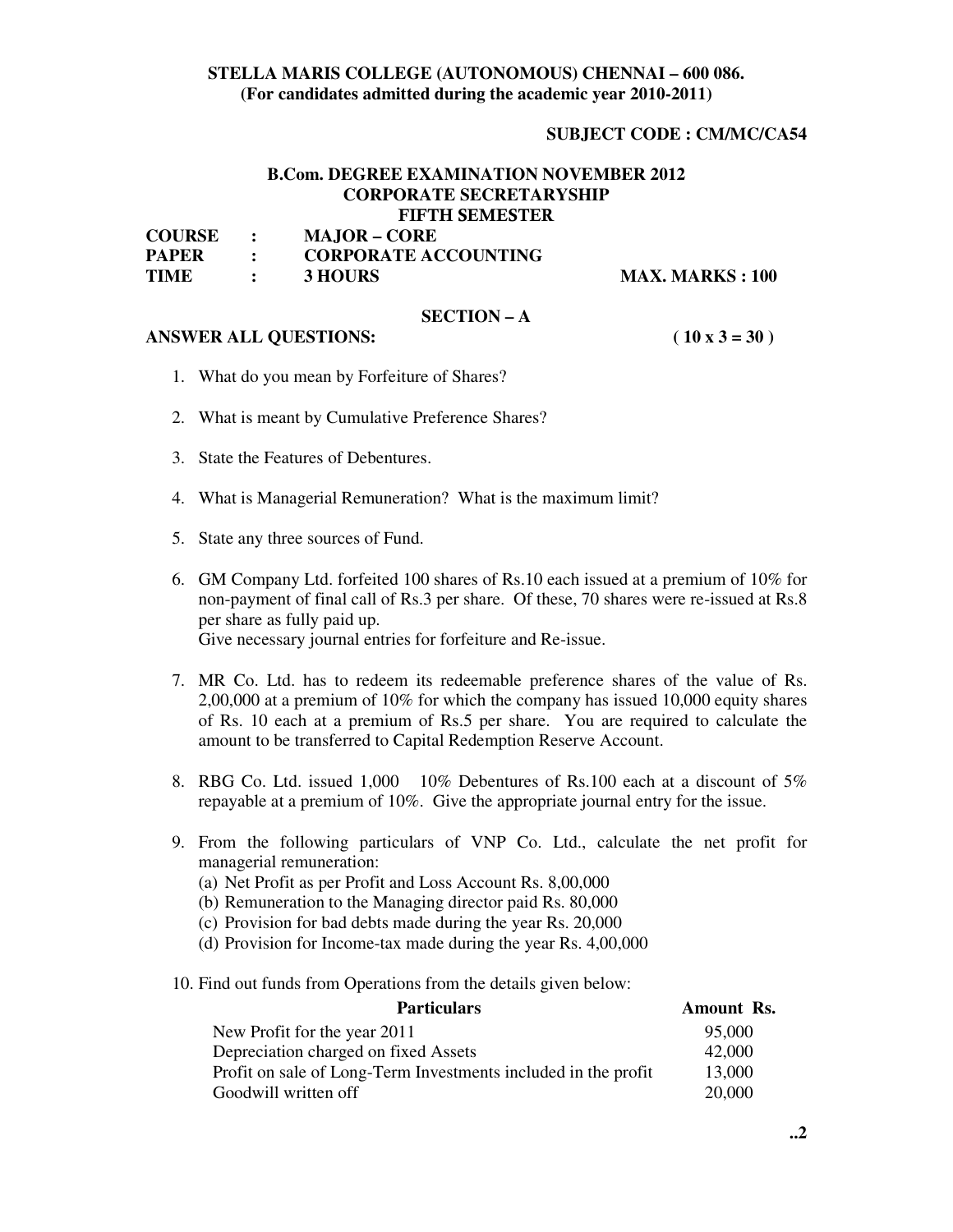# **STELLA MARIS COLLEGE (AUTONOMOUS) CHENNAI – 600 086. (For candidates admitted during the academic year 2010-2011)**

## **SUBJECT CODE : CM/MC/CA54**

# **B.Com. DEGREE EXAMINATION NOVEMBER 2012 CORPORATE SECRETARYSHIP FIFTH SEMESTER**

| <b>COURSE</b> | <b>MAJOR – CORE</b>         |
|---------------|-----------------------------|
| <b>PAPER</b>  | <b>CORPORATE ACCOUNTING</b> |
| TIME          | 3 HOURS                     |

**MAX. MARKS : 100** 

#### **SECTION – A**

#### **ANSWER ALL QUESTIONS: ( 10 x 3 = 30 )**

- 1. What do you mean by Forfeiture of Shares?
- 2. What is meant by Cumulative Preference Shares?
- 3. State the Features of Debentures.
- 4. What is Managerial Remuneration? What is the maximum limit?
- 5. State any three sources of Fund.
- 6. GM Company Ltd. forfeited 100 shares of Rs.10 each issued at a premium of 10% for non-payment of final call of Rs.3 per share. Of these, 70 shares were re-issued at Rs.8 per share as fully paid up. Give necessary journal entries for forfeiture and Re-issue.
- 7. MR Co. Ltd. has to redeem its redeemable preference shares of the value of Rs. 2,00,000 at a premium of 10% for which the company has issued 10,000 equity shares of Rs. 10 each at a premium of Rs.5 per share. You are required to calculate the amount to be transferred to Capital Redemption Reserve Account.
- 8. RBG Co. Ltd. issued 1,000 10% Debentures of Rs.100 each at a discount of 5% repayable at a premium of 10%. Give the appropriate journal entry for the issue.
- 9. From the following particulars of VNP Co. Ltd., calculate the net profit for managerial remuneration:
	- (a) Net Profit as per Profit and Loss Account Rs. 8,00,000
	- (b) Remuneration to the Managing director paid Rs. 80,000
	- (c) Provision for bad debts made during the year Rs. 20,000
	- (d) Provision for Income-tax made during the year Rs. 4,00,000
- 10. Find out funds from Operations from the details given below:

| <b>Particulars</b>                                             | Amount Rs. |
|----------------------------------------------------------------|------------|
| New Profit for the year 2011                                   | 95,000     |
| Depreciation charged on fixed Assets                           | 42,000     |
| Profit on sale of Long-Term Investments included in the profit | 13,000     |
| Goodwill written off                                           | 20,000     |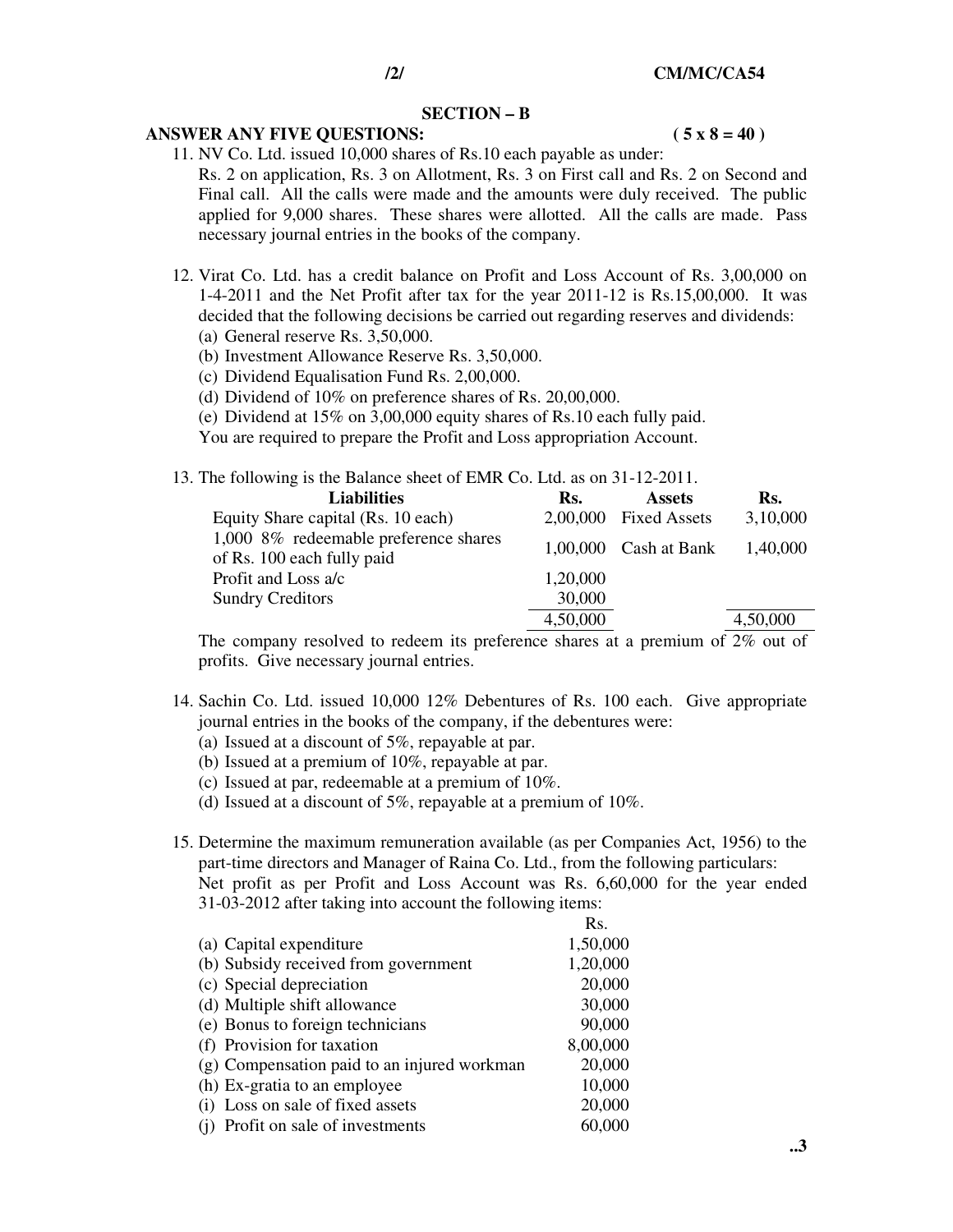### **SECTION – B**

## ANSWER ANY FIVE QUESTIONS: (5 x 8 = 40)

11. NV Co. Ltd. issued 10,000 shares of Rs.10 each payable as under: Rs. 2 on application, Rs. 3 on Allotment, Rs. 3 on First call and Rs. 2 on Second and Final call. All the calls were made and the amounts were duly received. The public applied for 9,000 shares. These shares were allotted. All the calls are made. Pass necessary journal entries in the books of the company.

- 12. Virat Co. Ltd. has a credit balance on Profit and Loss Account of Rs. 3,00,000 on 1-4-2011 and the Net Profit after tax for the year 2011-12 is Rs.15,00,000. It was decided that the following decisions be carried out regarding reserves and dividends:
	- (a) General reserve Rs. 3,50,000.
	- (b) Investment Allowance Reserve Rs. 3,50,000.
	- (c) Dividend Equalisation Fund Rs. 2,00,000.
	- (d) Dividend of 10% on preference shares of Rs. 20,00,000.
	- (e) Dividend at 15% on 3,00,000 equity shares of Rs.10 each fully paid.

You are required to prepare the Profit and Loss appropriation Account.

13. The following is the Balance sheet of EMR Co. Ltd. as on 31-12-2011.

| <b>Liabilities</b>                                                  | Rs.      | <b>Assets</b>           | Rs.      |
|---------------------------------------------------------------------|----------|-------------------------|----------|
| Equity Share capital (Rs. 10 each)                                  |          | 2,00,000 Fixed Assets   | 3,10,000 |
| 1,000 8% redeemable preference shares<br>of Rs. 100 each fully paid |          | $1,00,000$ Cash at Bank | 1,40,000 |
| Profit and Loss a/c                                                 | 1,20,000 |                         |          |
| <b>Sundry Creditors</b>                                             | 30,000   |                         |          |
|                                                                     | 4,50,000 |                         | 4,50,000 |

The company resolved to redeem its preference shares at a premium of 2% out of profits. Give necessary journal entries.

- 14. Sachin Co. Ltd. issued 10,000 12% Debentures of Rs. 100 each. Give appropriate journal entries in the books of the company, if the debentures were:
	- (a) Issued at a discount of 5%, repayable at par.
	- (b) Issued at a premium of 10%, repayable at par.
	- (c) Issued at par, redeemable at a premium of 10%.
	- (d) Issued at a discount of 5%, repayable at a premium of 10%.
- 15. Determine the maximum remuneration available (as per Companies Act, 1956) to the part-time directors and Manager of Raina Co. Ltd., from the following particulars: Net profit as per Profit and Loss Account was Rs. 6,60,000 for the year ended 31-03-2012 after taking into account the following items:

|                                             | Rs.      |
|---------------------------------------------|----------|
| (a) Capital expenditure                     | 1,50,000 |
| (b) Subsidy received from government        | 1,20,000 |
| (c) Special depreciation                    | 20,000   |
| (d) Multiple shift allowance                | 30,000   |
| (e) Bonus to foreign technicians            | 90,000   |
| (f) Provision for taxation                  | 8,00,000 |
| (g) Compensation paid to an injured workman | 20,000   |
| (h) Ex-gratia to an employee                | 10,000   |
| (i) Loss on sale of fixed assets            | 20,000   |
| (i) Profit on sale of investments           | 60,000   |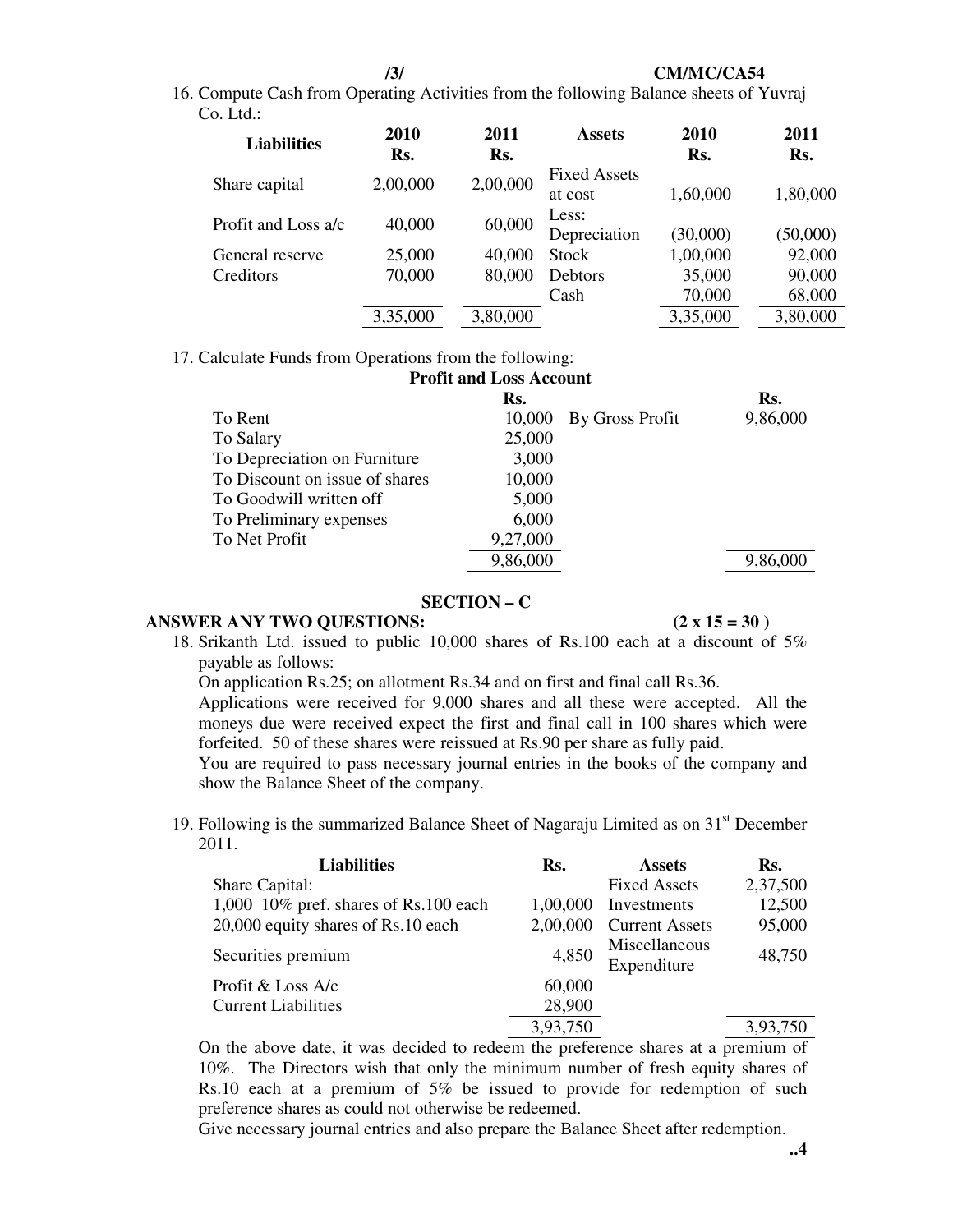#### **/3/ CM/MC/CA54**

16. Compute Cash from Operating Activities from the following Balance sheets of Yuvraj Co. Ltd.:

| 2010<br>Rs. | 2011<br>Rs. | <b>Assets</b>                  | 2010<br>Rs. | 2011<br>Rs. |
|-------------|-------------|--------------------------------|-------------|-------------|
| 2,00,000    | 2,00,000    | <b>Fixed Assets</b><br>at cost | 1,60,000    | 1,80,000    |
| 40,000      | 60,000      | Less:<br>Depreciation          | (30,000)    | (50,000)    |
| 25,000      | 40,000      | Stock                          | 1,00,000    | 92,000      |
| 70,000      | 80,000      | Debtors                        | 35,000      | 90,000      |
|             |             | Cash                           | 70,000      | 68,000      |
| 3,35,000    | 3,80,000    |                                | 3,35,000    | 3,80,000    |
|             |             |                                |             |             |

17. Calculate Funds from Operations from the following:

| <b>Profit and Loss Account</b> |          |                        |          |  |  |
|--------------------------------|----------|------------------------|----------|--|--|
|                                | Rs.      |                        | Rs.      |  |  |
| To Rent                        |          | 10,000 By Gross Profit | 9,86,000 |  |  |
| To Salary                      | 25,000   |                        |          |  |  |
| To Depreciation on Furniture   | 3,000    |                        |          |  |  |
| To Discount on issue of shares | 10,000   |                        |          |  |  |
| To Goodwill written off        | 5,000    |                        |          |  |  |
| To Preliminary expenses        | 6,000    |                        |          |  |  |
| To Net Profit                  | 9,27,000 |                        |          |  |  |
|                                | 9,86,000 |                        |          |  |  |

## **SECTION – C**

# **ANSWER ANY TWO OUESTIONS:**  $(2 \times 15 = 30)$

18. Srikanth Ltd. issued to public 10,000 shares of Rs.100 each at a discount of 5% payable as follows:

On application Rs.25; on allotment Rs.34 and on first and final call Rs.36.

Applications were received for 9,000 shares and all these were accepted. All the moneys due were received expect the first and final call in 100 shares which were forfeited. 50 of these shares were reissued at Rs.90 per share as fully paid.

You are required to pass necessary journal entries in the books of the company and show the Balance Sheet of the company.

19. Following is the summarized Balance Sheet of Nagaraju Limited as on  $31<sup>st</sup>$  December 2011.

| <b>Liabilities</b>                       | Rs.      | <b>Assets</b>                | Rs.      |
|------------------------------------------|----------|------------------------------|----------|
| Share Capital:                           |          | <b>Fixed Assets</b>          | 2,37,500 |
| 1,000 $10\%$ pref. shares of Rs.100 each | 1,00,000 | Investments                  | 12,500   |
| 20,000 equity shares of Rs.10 each       | 2,00,000 | <b>Current Assets</b>        | 95,000   |
| Securities premium                       | 4,850    | Miscellaneous<br>Expenditure | 48,750   |
| Profit & Loss A/c                        | 60,000   |                              |          |
| <b>Current Liabilities</b>               | 28,900   |                              |          |
|                                          | 3,93,750 |                              | 3,93,750 |

On the above date, it was decided to redeem the preference shares at a premium of 10%. The Directors wish that only the minimum number of fresh equity shares of Rs.10 each at a premium of 5% be issued to provide for redemption of such preference shares as could not otherwise be redeemed.

Give necessary journal entries and also prepare the Balance Sheet after redemption.